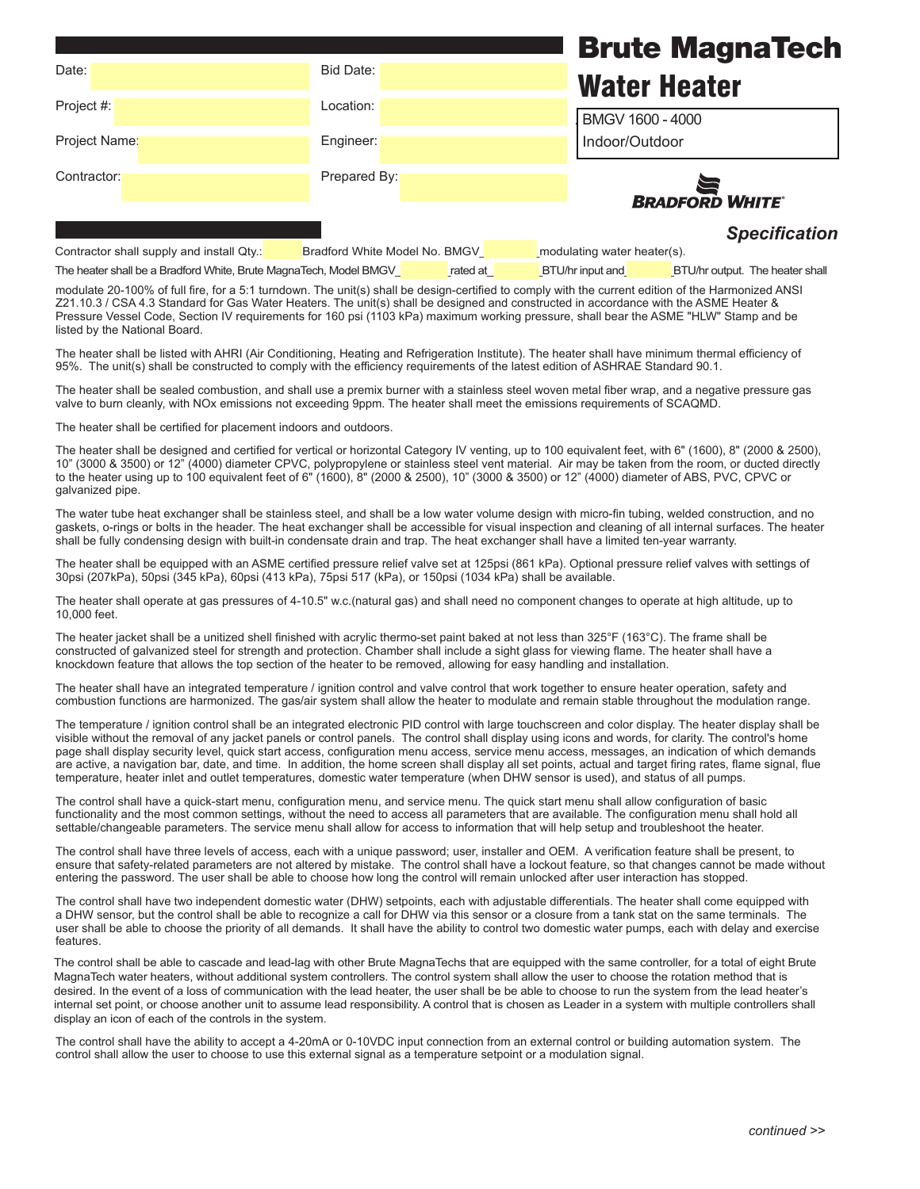|               |              | <b>Brute MagnaTech</b> |
|---------------|--------------|------------------------|
| Date:         | Bid Date:    | <b>Water Heater</b>    |
| Project #:    | Location:    | BMGV 1600 - 4000       |
| Project Name: | Engineer:    | Indoor/Outdoor         |
| Contractor:   | Prepared By: | <b>BRADFORD WHITE</b>  |
|               |              |                        |

| <b>Specification</b> |  |  |
|----------------------|--|--|

Contractor shall supply and install Qty.:\_\_\_\_\_\_\_Laars Model No. MGV\_\_\_\_\_\_\_modulating condensing water heater(s). Contractor shall supply and install Qty.:

The heater shall be a Bradford White, Brute MagnaTech, Model BMGV and are at a case of a BTU/hr input and a BTU/hr output. The heater shall

The heater shall be a Litaubit White, Diate MagnaTerm M, Model DMOV $\frac{1}{\sqrt{2}}$  and  $\frac{1}{\sqrt{2}}$  DTU/hr input and  $\frac{1}{\sqrt{2}}$ modulate 20-100% of full fire, for a 5:1 turndown. The unit(s) shall be design-certified to comply with the current edition of the Harmonized ANSI Z21.10.3 / CSA 4.3 Standard for Gas Water Heaters. The unit(s) shall be designed and constructed in accordance with the ASME Heater & Pressure Vessel Code, Section IV requirements for 160 psi (1103 kPa) maximum working pressure, shall bear the ASME "HLW" Stamp and be listed by the National Board.

The heater shall be listed with AHRI (Air Conditioning, Heating and Refrigeration Institute). The heater shall have minimum thermal efficiency of 95%. The unit(s) shall be constructed to comply with the efficiency requirements of the latest edition of ASHRAE Standard 90.1.

The heater shall be sealed combustion, and shall use a premix burner with a stainless steel woven metal fiber wrap, and a negative pressure gas valve to burn cleanly, with NOx emissions not exceeding 9ppm. The heater shall meet the emissions requirements of SCAQMD.

The heater shall be certified for placement indoors and outdoors.

The heater shall be designed and certified for vertical or horizontal Category IV venting, up to 100 equivalent feet, with 6" (1600), 8" (2000 & 2500), 10" (3000 & 3500) or 12" (4000) diameter CPVC, polypropylene or stainless steel vent material. Air may be taken from the room, or ducted directly to the heater using up to 100 equivalent feet of 6" (1600), 8" (2000 & 2500), 10" (3000 & 3500) or 12" (4000) diameter of ABS, PVC, CPVC or galvanized pipe.

The water tube heat exchanger shall be stainless steel, and shall be a low water volume design with micro-fin tubing, welded construction, and no gaskets, o-rings or bolts in the header. The heat exchanger shall be accessible for visual inspection and cleaning of all internal surfaces. The heater shall be fully condensing design with built-in condensate drain and trap. The heat exchanger shall have a limited ten-year warranty.

The heater shall be equipped with an ASME certified pressure relief valve set at 125psi (861 kPa). Optional pressure relief valves with settings of 30psi (207kPa), 50psi (345 kPa), 60psi (413 kPa), 75psi 517 (kPa), or 150psi (1034 kPa) shall be available.

The heater shall operate at gas pressures of 4-10.5" w.c.(natural gas) and shall need no component changes to operate at high altitude, up to 10,000 feet.

The heater jacket shall be a unitized shell finished with acrylic thermo-set paint baked at not less than 325°F (163°C). The frame shall be constructed of galvanized steel for strength and protection. Chamber shall include a sight glass for viewing flame. The heater shall have a knockdown feature that allows the top section of the heater to be removed, allowing for easy handling and installation.

The heater shall have an integrated temperature / ignition control and valve control that work together to ensure heater operation, safety and combustion functions are harmonized. The gas/air system shall allow the heater to modulate and remain stable throughout the modulation range.

The temperature / ignition control shall be an integrated electronic PID control with large touchscreen and color display. The heater display shall be visible without the removal of any jacket panels or control panels. The control shall display using icons and words, for clarity. The control's home page shall display security level, quick start access, configuration menu access, service menu access, messages, an indication of which demands are active, a navigation bar, date, and time. In addition, the home screen shall display all set points, actual and target firing rates, flame signal, flue temperature, heater inlet and outlet temperatures, domestic water temperature (when DHW sensor is used), and status of all pumps.

The control shall have a quick-start menu, configuration menu, and service menu. The quick start menu shall allow configuration of basic functionality and the most common settings, without the need to access all parameters that are available. The configuration menu shall hold all settable/changeable parameters. The service menu shall allow for access to information that will help setup and troubleshoot the heater.

The control shall have three levels of access, each with a unique password; user, installer and OEM. A verification feature shall be present, to ensure that safety-related parameters are not altered by mistake. The control shall have a lockout feature, so that changes cannot be made without entering the password. The user shall be able to choose how long the control will remain unlocked after user interaction has stopped.

The control shall have two independent domestic water (DHW) setpoints, each with adjustable differentials. The heater shall come equipped with a DHW sensor, but the control shall be able to recognize a call for DHW via this sensor or a closure from a tank stat on the same terminals. The user shall be able to choose the priority of all demands. It shall have the ability to control two domestic water pumps, each with delay and exercise features.

The control shall be able to cascade and lead-lag with other Brute MagnaTechs that are equipped with the same controller, for a total of eight Brute MagnaTech water heaters, without additional system controllers. The control system shall allow the user to choose the rotation method that is desired. In the event of a loss of communication with the lead heater, the user shall be be able to choose to run the system from the lead heater's internal set point, or choose another unit to assume lead responsibility. A control that is chosen as Leader in a system with multiple controllers shall display an icon of each of the controls in the system.

The control shall have the ability to accept a 4-20mA or 0-10VDC input connection from an external control or building automation system. The control shall allow the user to choose to use this external signal as a temperature setpoint or a modulation signal.